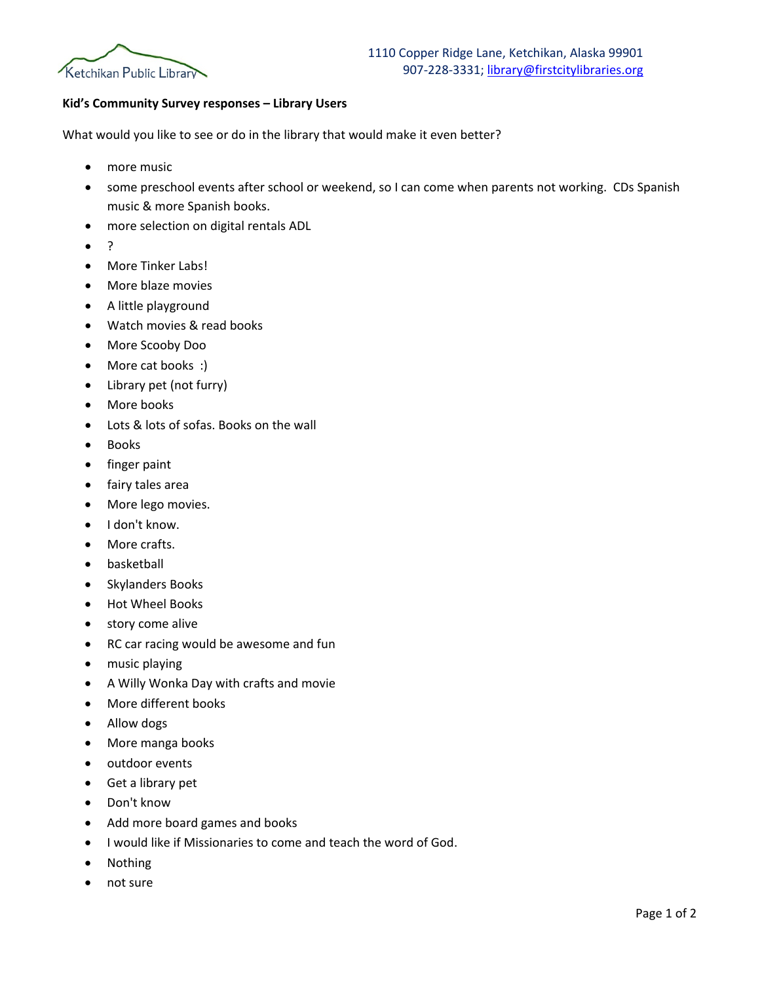

## **Kid's Community Survey responses – Library Users**

What would you like to see or do in the library that would make it even better?

- more music
- some preschool events after school or weekend, so I can come when parents not working. CDs Spanish music & more Spanish books.
- more selection on digital rentals ADL
- ?
- More Tinker Labs!
- More blaze movies
- A little playground
- Watch movies & read books
- More Scooby Doo
- More cat books :)
- Library pet (not furry)
- More books
- Lots & lots of sofas. Books on the wall
- Books
- finger paint
- fairy tales area
- More lego movies.
- I don't know.
- More crafts.
- basketball
- Skylanders Books
- Hot Wheel Books
- story come alive
- RC car racing would be awesome and fun
- music playing
- A Willy Wonka Day with crafts and movie
- More different books
- Allow dogs
- More manga books
- outdoor events
- Get a library pet
- Don't know
- Add more board games and books
- I would like if Missionaries to come and teach the word of God.
- Nothing
- not sure